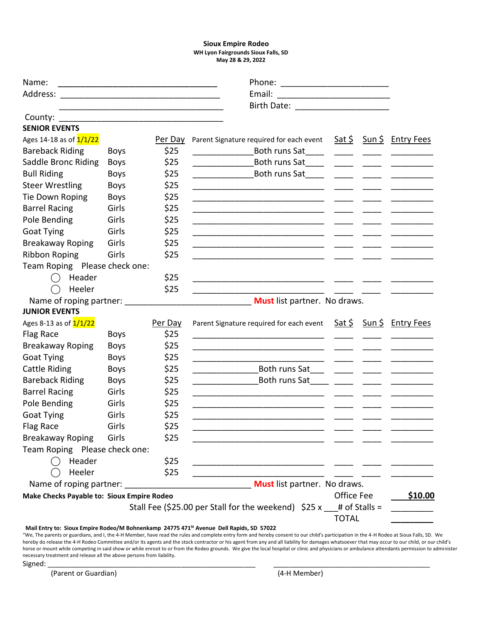### **Sioux Empire Rodeo WH Lyon Fairgrounds Sioux Falls, SD May 28 & 29, 2022**

| Email:<br>County:<br>Parent Signature required for each event<br><u>Sat \$</u><br>Sun \$ Entry Fees<br>Per Day<br>\$25<br>Both runs Sat<br><b>Boys</b><br>\$25<br>Both runs Sat<br><b>Boys</b><br>\$25<br><b>Boys</b><br>\$25<br><b>Boys</b><br>\$25<br><b>Boys</b><br><u> 1989 - Andrea Britain, president e popularista e popularista e popularista e popularista e popularista e pop</u><br>\$25<br>Girls<br><u> 1980 - Jan Barbara, martin da kasar Amerikaan kasar da</u><br>\$25<br>Girls<br><u> 1989 - Johann Barn, mars an t-Amerikaansk politiker (</u><br>\$25<br>Girls<br>\$25<br>Girls<br><u> 1980 - Jan Stein Stein Stein Stein Stein Stein Stein Stein Stein Stein Stein Stein Stein Stein Stein Stein S</u><br>Girls<br>\$25<br>Team Roping Please check one:<br>\$25<br>Header<br>( )<br>Heeler<br>\$25<br>( )<br>Name of roping partner:<br>Must list partner. No draws.<br>Parent Signature required for each event Sat \$ Sun \$ Entry Fees<br>Per Day<br>\$25<br><b>Boys</b><br>\$25<br><b>Boys</b><br><u> 1989 - Johann Stoff, Amerikaansk politiker († 1908)</u><br>\$25<br><b>Boys</b><br>\$25<br>Both runs Sat___ _____ _____ _____<br><b>Boys</b><br>\$25<br>Both runs Sat_____ _____ _____<br><b>Boys</b><br>\$25<br>Girls<br><u> 2000 - Januar Amerikaanse konstantinoplerin (h. 2000).</u><br>\$25<br>Girls<br>\$25<br><b>Goat Tying</b><br>Girls<br>\$25<br>Girls<br>Flag Race<br>\$25<br><b>Breakaway Roping</b><br>Girls<br>Team Roping Please check one:<br>Header<br>\$25<br>Heeler<br>\$25<br>Must list partner. No draws.<br>Office Fee<br>Make Checks Payable to: Sioux Empire Rodeo<br>Stall Fee (\$25.00 per Stall for the weekend) $$25 x$ # of Stalls =<br><b>TOTAL</b> | Name:                             |  |  |  |  |  |  |
|-----------------------------------------------------------------------------------------------------------------------------------------------------------------------------------------------------------------------------------------------------------------------------------------------------------------------------------------------------------------------------------------------------------------------------------------------------------------------------------------------------------------------------------------------------------------------------------------------------------------------------------------------------------------------------------------------------------------------------------------------------------------------------------------------------------------------------------------------------------------------------------------------------------------------------------------------------------------------------------------------------------------------------------------------------------------------------------------------------------------------------------------------------------------------------------------------------------------------------------------------------------------------------------------------------------------------------------------------------------------------------------------------------------------------------------------------------------------------------------------------------------------------------------------------------------------------------------------------------------------------------------------------------------------------------------------------------------------|-----------------------------------|--|--|--|--|--|--|
|                                                                                                                                                                                                                                                                                                                                                                                                                                                                                                                                                                                                                                                                                                                                                                                                                                                                                                                                                                                                                                                                                                                                                                                                                                                                                                                                                                                                                                                                                                                                                                                                                                                                                                                 | Address:                          |  |  |  |  |  |  |
|                                                                                                                                                                                                                                                                                                                                                                                                                                                                                                                                                                                                                                                                                                                                                                                                                                                                                                                                                                                                                                                                                                                                                                                                                                                                                                                                                                                                                                                                                                                                                                                                                                                                                                                 |                                   |  |  |  |  |  |  |
|                                                                                                                                                                                                                                                                                                                                                                                                                                                                                                                                                                                                                                                                                                                                                                                                                                                                                                                                                                                                                                                                                                                                                                                                                                                                                                                                                                                                                                                                                                                                                                                                                                                                                                                 |                                   |  |  |  |  |  |  |
| <u>\$10.00</u>                                                                                                                                                                                                                                                                                                                                                                                                                                                                                                                                                                                                                                                                                                                                                                                                                                                                                                                                                                                                                                                                                                                                                                                                                                                                                                                                                                                                                                                                                                                                                                                                                                                                                                  | <b>SENIOR EVENTS</b>              |  |  |  |  |  |  |
|                                                                                                                                                                                                                                                                                                                                                                                                                                                                                                                                                                                                                                                                                                                                                                                                                                                                                                                                                                                                                                                                                                                                                                                                                                                                                                                                                                                                                                                                                                                                                                                                                                                                                                                 | Ages 14-18 as of $\frac{1}{1/22}$ |  |  |  |  |  |  |
|                                                                                                                                                                                                                                                                                                                                                                                                                                                                                                                                                                                                                                                                                                                                                                                                                                                                                                                                                                                                                                                                                                                                                                                                                                                                                                                                                                                                                                                                                                                                                                                                                                                                                                                 | <b>Bareback Riding</b>            |  |  |  |  |  |  |
|                                                                                                                                                                                                                                                                                                                                                                                                                                                                                                                                                                                                                                                                                                                                                                                                                                                                                                                                                                                                                                                                                                                                                                                                                                                                                                                                                                                                                                                                                                                                                                                                                                                                                                                 | Saddle Bronc Riding               |  |  |  |  |  |  |
|                                                                                                                                                                                                                                                                                                                                                                                                                                                                                                                                                                                                                                                                                                                                                                                                                                                                                                                                                                                                                                                                                                                                                                                                                                                                                                                                                                                                                                                                                                                                                                                                                                                                                                                 | <b>Bull Riding</b>                |  |  |  |  |  |  |
|                                                                                                                                                                                                                                                                                                                                                                                                                                                                                                                                                                                                                                                                                                                                                                                                                                                                                                                                                                                                                                                                                                                                                                                                                                                                                                                                                                                                                                                                                                                                                                                                                                                                                                                 | <b>Steer Wrestling</b>            |  |  |  |  |  |  |
|                                                                                                                                                                                                                                                                                                                                                                                                                                                                                                                                                                                                                                                                                                                                                                                                                                                                                                                                                                                                                                                                                                                                                                                                                                                                                                                                                                                                                                                                                                                                                                                                                                                                                                                 | Tie Down Roping                   |  |  |  |  |  |  |
|                                                                                                                                                                                                                                                                                                                                                                                                                                                                                                                                                                                                                                                                                                                                                                                                                                                                                                                                                                                                                                                                                                                                                                                                                                                                                                                                                                                                                                                                                                                                                                                                                                                                                                                 | <b>Barrel Racing</b>              |  |  |  |  |  |  |
|                                                                                                                                                                                                                                                                                                                                                                                                                                                                                                                                                                                                                                                                                                                                                                                                                                                                                                                                                                                                                                                                                                                                                                                                                                                                                                                                                                                                                                                                                                                                                                                                                                                                                                                 | Pole Bending                      |  |  |  |  |  |  |
|                                                                                                                                                                                                                                                                                                                                                                                                                                                                                                                                                                                                                                                                                                                                                                                                                                                                                                                                                                                                                                                                                                                                                                                                                                                                                                                                                                                                                                                                                                                                                                                                                                                                                                                 | Goat Tying                        |  |  |  |  |  |  |
|                                                                                                                                                                                                                                                                                                                                                                                                                                                                                                                                                                                                                                                                                                                                                                                                                                                                                                                                                                                                                                                                                                                                                                                                                                                                                                                                                                                                                                                                                                                                                                                                                                                                                                                 | <b>Breakaway Roping</b>           |  |  |  |  |  |  |
|                                                                                                                                                                                                                                                                                                                                                                                                                                                                                                                                                                                                                                                                                                                                                                                                                                                                                                                                                                                                                                                                                                                                                                                                                                                                                                                                                                                                                                                                                                                                                                                                                                                                                                                 | <b>Ribbon Roping</b>              |  |  |  |  |  |  |
|                                                                                                                                                                                                                                                                                                                                                                                                                                                                                                                                                                                                                                                                                                                                                                                                                                                                                                                                                                                                                                                                                                                                                                                                                                                                                                                                                                                                                                                                                                                                                                                                                                                                                                                 |                                   |  |  |  |  |  |  |
|                                                                                                                                                                                                                                                                                                                                                                                                                                                                                                                                                                                                                                                                                                                                                                                                                                                                                                                                                                                                                                                                                                                                                                                                                                                                                                                                                                                                                                                                                                                                                                                                                                                                                                                 |                                   |  |  |  |  |  |  |
|                                                                                                                                                                                                                                                                                                                                                                                                                                                                                                                                                                                                                                                                                                                                                                                                                                                                                                                                                                                                                                                                                                                                                                                                                                                                                                                                                                                                                                                                                                                                                                                                                                                                                                                 |                                   |  |  |  |  |  |  |
|                                                                                                                                                                                                                                                                                                                                                                                                                                                                                                                                                                                                                                                                                                                                                                                                                                                                                                                                                                                                                                                                                                                                                                                                                                                                                                                                                                                                                                                                                                                                                                                                                                                                                                                 |                                   |  |  |  |  |  |  |
|                                                                                                                                                                                                                                                                                                                                                                                                                                                                                                                                                                                                                                                                                                                                                                                                                                                                                                                                                                                                                                                                                                                                                                                                                                                                                                                                                                                                                                                                                                                                                                                                                                                                                                                 | <b>JUNIOR EVENTS</b>              |  |  |  |  |  |  |
|                                                                                                                                                                                                                                                                                                                                                                                                                                                                                                                                                                                                                                                                                                                                                                                                                                                                                                                                                                                                                                                                                                                                                                                                                                                                                                                                                                                                                                                                                                                                                                                                                                                                                                                 | Ages 8-13 as of $\frac{1}{1/22}$  |  |  |  |  |  |  |
|                                                                                                                                                                                                                                                                                                                                                                                                                                                                                                                                                                                                                                                                                                                                                                                                                                                                                                                                                                                                                                                                                                                                                                                                                                                                                                                                                                                                                                                                                                                                                                                                                                                                                                                 | Flag Race                         |  |  |  |  |  |  |
|                                                                                                                                                                                                                                                                                                                                                                                                                                                                                                                                                                                                                                                                                                                                                                                                                                                                                                                                                                                                                                                                                                                                                                                                                                                                                                                                                                                                                                                                                                                                                                                                                                                                                                                 | <b>Breakaway Roping</b>           |  |  |  |  |  |  |
|                                                                                                                                                                                                                                                                                                                                                                                                                                                                                                                                                                                                                                                                                                                                                                                                                                                                                                                                                                                                                                                                                                                                                                                                                                                                                                                                                                                                                                                                                                                                                                                                                                                                                                                 | <b>Goat Tying</b>                 |  |  |  |  |  |  |
|                                                                                                                                                                                                                                                                                                                                                                                                                                                                                                                                                                                                                                                                                                                                                                                                                                                                                                                                                                                                                                                                                                                                                                                                                                                                                                                                                                                                                                                                                                                                                                                                                                                                                                                 | Cattle Riding                     |  |  |  |  |  |  |
|                                                                                                                                                                                                                                                                                                                                                                                                                                                                                                                                                                                                                                                                                                                                                                                                                                                                                                                                                                                                                                                                                                                                                                                                                                                                                                                                                                                                                                                                                                                                                                                                                                                                                                                 | <b>Bareback Riding</b>            |  |  |  |  |  |  |
|                                                                                                                                                                                                                                                                                                                                                                                                                                                                                                                                                                                                                                                                                                                                                                                                                                                                                                                                                                                                                                                                                                                                                                                                                                                                                                                                                                                                                                                                                                                                                                                                                                                                                                                 | <b>Barrel Racing</b>              |  |  |  |  |  |  |
|                                                                                                                                                                                                                                                                                                                                                                                                                                                                                                                                                                                                                                                                                                                                                                                                                                                                                                                                                                                                                                                                                                                                                                                                                                                                                                                                                                                                                                                                                                                                                                                                                                                                                                                 | Pole Bending                      |  |  |  |  |  |  |
|                                                                                                                                                                                                                                                                                                                                                                                                                                                                                                                                                                                                                                                                                                                                                                                                                                                                                                                                                                                                                                                                                                                                                                                                                                                                                                                                                                                                                                                                                                                                                                                                                                                                                                                 |                                   |  |  |  |  |  |  |
|                                                                                                                                                                                                                                                                                                                                                                                                                                                                                                                                                                                                                                                                                                                                                                                                                                                                                                                                                                                                                                                                                                                                                                                                                                                                                                                                                                                                                                                                                                                                                                                                                                                                                                                 |                                   |  |  |  |  |  |  |
|                                                                                                                                                                                                                                                                                                                                                                                                                                                                                                                                                                                                                                                                                                                                                                                                                                                                                                                                                                                                                                                                                                                                                                                                                                                                                                                                                                                                                                                                                                                                                                                                                                                                                                                 |                                   |  |  |  |  |  |  |
|                                                                                                                                                                                                                                                                                                                                                                                                                                                                                                                                                                                                                                                                                                                                                                                                                                                                                                                                                                                                                                                                                                                                                                                                                                                                                                                                                                                                                                                                                                                                                                                                                                                                                                                 |                                   |  |  |  |  |  |  |
|                                                                                                                                                                                                                                                                                                                                                                                                                                                                                                                                                                                                                                                                                                                                                                                                                                                                                                                                                                                                                                                                                                                                                                                                                                                                                                                                                                                                                                                                                                                                                                                                                                                                                                                 |                                   |  |  |  |  |  |  |
|                                                                                                                                                                                                                                                                                                                                                                                                                                                                                                                                                                                                                                                                                                                                                                                                                                                                                                                                                                                                                                                                                                                                                                                                                                                                                                                                                                                                                                                                                                                                                                                                                                                                                                                 |                                   |  |  |  |  |  |  |
|                                                                                                                                                                                                                                                                                                                                                                                                                                                                                                                                                                                                                                                                                                                                                                                                                                                                                                                                                                                                                                                                                                                                                                                                                                                                                                                                                                                                                                                                                                                                                                                                                                                                                                                 |                                   |  |  |  |  |  |  |
|                                                                                                                                                                                                                                                                                                                                                                                                                                                                                                                                                                                                                                                                                                                                                                                                                                                                                                                                                                                                                                                                                                                                                                                                                                                                                                                                                                                                                                                                                                                                                                                                                                                                                                                 |                                   |  |  |  |  |  |  |
|                                                                                                                                                                                                                                                                                                                                                                                                                                                                                                                                                                                                                                                                                                                                                                                                                                                                                                                                                                                                                                                                                                                                                                                                                                                                                                                                                                                                                                                                                                                                                                                                                                                                                                                 |                                   |  |  |  |  |  |  |
|                                                                                                                                                                                                                                                                                                                                                                                                                                                                                                                                                                                                                                                                                                                                                                                                                                                                                                                                                                                                                                                                                                                                                                                                                                                                                                                                                                                                                                                                                                                                                                                                                                                                                                                 |                                   |  |  |  |  |  |  |

#### **Mail Entry to: Sioux Empire Rodeo/M Bohnenkamp 24775 471St Avenue Dell Rapids, SD 57022**

"We, The parents or guardians, and I, the 4-H Member, have read the rules and complete entry form and hereby consent to our child's participation in the 4-H Rodeo at Sioux Falls, SD. We hereby do release the 4-H Rodeo Committee and/or its agents and the stock contractor or his agent from any and all liability for damages whatsoever that may occur to our child, or our child's horse or mount while competing in said show or while enroot to or from the Rodeo grounds. We give the local hospital or clinic and physicians or ambulance attendants permission to administer necessary treatment and release all the above persons from liability.

Signed: \_\_\_\_\_\_\_\_\_\_\_\_\_\_\_\_\_\_\_\_\_\_\_\_\_\_\_\_\_\_\_\_\_\_\_\_\_\_\_\_\_\_\_\_\_\_\_\_\_\_\_\_\_ \_\_\_\_\_\_\_\_\_\_\_\_\_\_\_\_\_\_\_\_\_\_\_\_\_\_\_\_\_\_\_\_\_\_\_\_\_\_\_\_